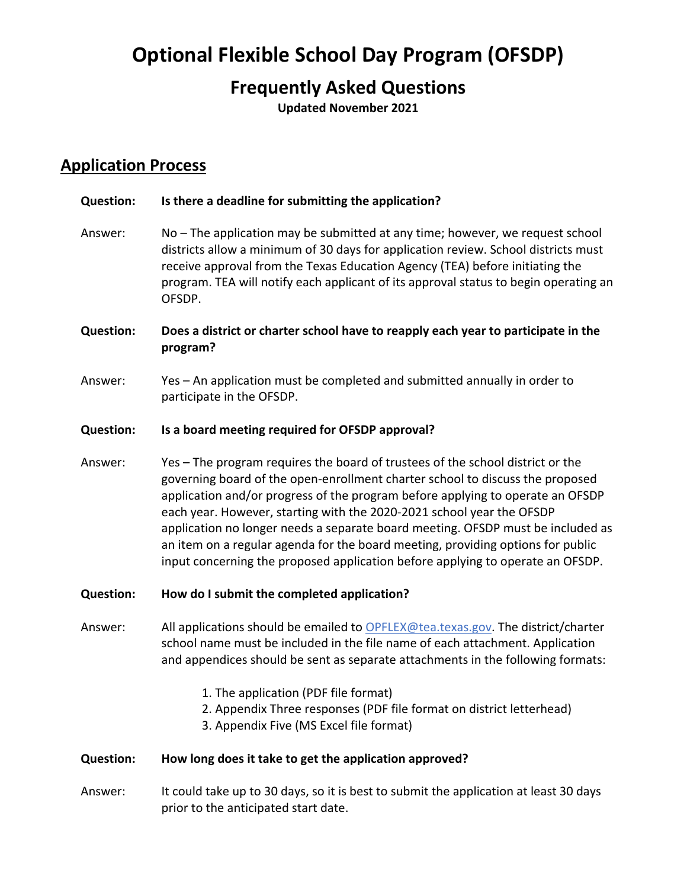# **Optional Flexible School Day Program (OFSDP)**

## **Frequently Asked Questions**

**Updated November 2021** 

## **Application Process**

## Answer: districts allow a minimum of 30 days for application review. School districts must Answer: Answer: **Question:**  school name must be included in the file name of each attachment. Application 1. The application (PDF file format) 1. The application (PDF file format)<br>2. Appendix Three responses (PDF file format on district letterhead) **Question: Is there a deadline for submitting the application?**  No – The application may be submitted at any time; however, we request school receive approval from the Texas Education Agency (TEA) before initiating the program. TEA will notify each applicant of its approval status to begin operating an OFSDP. **Question: Does a district or charter school have to reapply each year to participate in the program?**  Yes – An application must be completed and submitted annually in order to participate in the OFSDP. **Question: Is a board meeting required for OFSDP approval?**  Yes – The program requires the board of trustees of the school district or the governing board of the open-enrollment charter school to discuss the proposed application and/or progress of the program before applying to operate an OFSDP each year. However, starting with the 2020-2021 school year the OFSDP application no longer needs a separate board meeting. OFSDP must be included as an item on a regular agenda for the board meeting, providing options for public input concerning the proposed application before applying to operate an OFSDP. **Question: How do I submit the completed application?**  Answer: All applications should be emailed to [OPFLEX@tea.texas.gov.](mailto:OPFLEX@tea.texas.gov) The district/charter and appendices should be sent as separate attachments in the following formats: 3. Appendix Five (MS Excel file format) **Question: How long does it take to get the application approved?**  Answer: It could take up to 30 days, so it is best to submit the application at least 30 days

prior to the anticipated start date.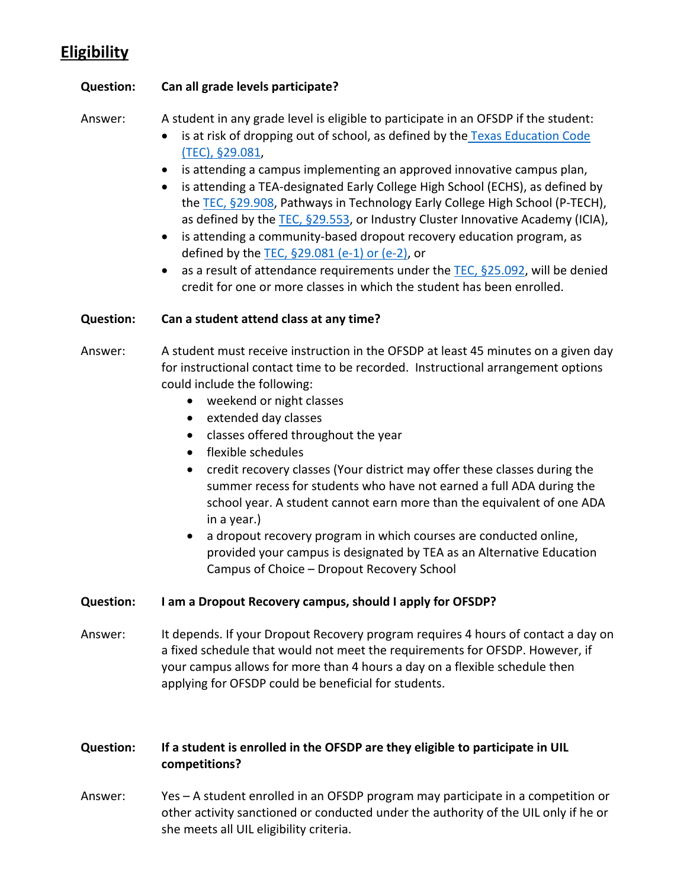## **Eligibility**

## **Question: Can all grade levels participate?**

Answer: A student in any grade level is eligible to participate in an OFSDP if the student:

- is at risk of dropping out of school, as defined by the Texas Education Code [\(TEC\), §29.081,](https://statutes.capitol.texas.gov/Docs/ED/htm/ED.29.htm#29.081)
- is attending a campus implementing an approved innovative campus plan,
- the [TEC, §29.908,](https://statutes.capitol.texas.gov/Docs/ED/htm/ED.29.htm#29.908) Pathways in Technology Early College High School (P-TECH), as defined by the [TEC, §29.553,](https://statutes.capitol.texas.gov/SOTWDocs/ED/htm/ED.29.htm#29.553) or Industry Cluster Innovative Academy (ICIA), • is attending a TEA-designated Early College High School (ECHS), as defined by
- defined by the [TEC, §29.081 \(e-1\) or \(e-2\),](https://statutes.capitol.texas.gov/SOTWDocs/ED/htm/ED.29.htm#29.081) or • is attending a community-based dropout recovery education program, as
- as a result of attendance requirements under the TEC,  $\S$ 25.092, will be denied credit for one or more classes in which the student has been enrolled.

## **Question: Can a student attend class at any time?**

- for instructional contact time to be recorded. Instructional arrangement options Answer: A student must receive instruction in the OFSDP at least 45 minutes on a given day could include the following:
	- weekend or night classes
	- extended day classes
	- classes offered throughout the year
	- flexible schedules
	- school year. A student cannot earn more than the equivalent of one ADA in a year.) • credit recovery classes (Your district may offer these classes during the summer recess for students who have not earned a full ADA during the
	- provided your campus is designated by TEA as an Alternative Education • a dropout recovery program in which courses are conducted online, Campus of Choice – Dropout Recovery School

## **Question: I am a Dropout Recovery campus, should I apply for OFSDP?**

Answer: It depends. If your Dropout Recovery program requires 4 hours of contact a day on a fixed schedule that would not meet the requirements for OFSDP. However, if your campus allows for more than 4 hours a day on a flexible schedule then applying for OFSDP could be beneficial for students.

## **Question: If a student is enrolled in the OFSDP are they eligible to participate in UIL competitions?**

Answer: Yes – A student enrolled in an OFSDP program may participate in a competition or other activity sanctioned or conducted under the authority of the UIL only if he or she meets all UIL eligibility criteria.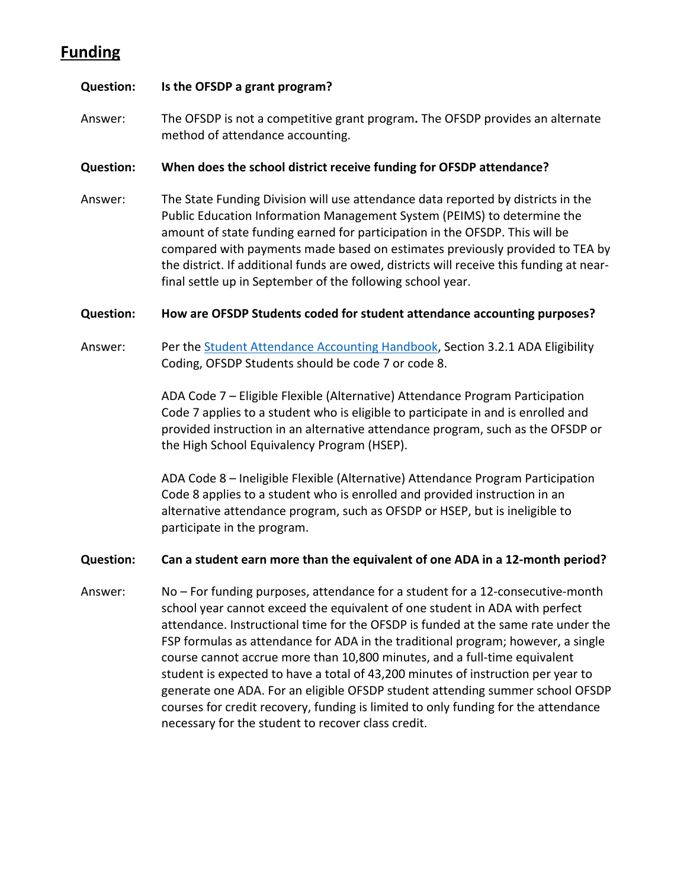## **Funding**

#### **Question: Is the OFSDP a grant program?**

Answer: The OFSDP is not a competitive grant program**.** The OFSDP provides an alternate method of attendance accounting.

#### **Question: When does the school district receive funding for OFSDP attendance?**

 Answer: The State Funding Division will use attendance data reported by districts in the Public Education Information Management System (PEIMS) to determine the compared with payments made based on estimates previously provided to TEA by the district. If additional funds are owed, districts will receive this funding at near- final settle up in September of the following school year. amount of state funding earned for participation in the OFSDP. This will be

#### **Question: How are OFSDP Students coded for student attendance accounting purposes?**

Answer: Per the [Student Attendance Accounting Handbook,](https://tea.texas.gov/finance-and-grants/financial-compliance/student-attendance-accounting-handbook) Section 3.2.1 ADA Eligibility Coding, OFSDP Students should be code 7 or code 8.

> ADA Code 7 – Eligible Flexible (Alternative) Attendance Program Participation provided instruction in an alternative attendance program, such as the OFSDP or Code 7 applies to a student who is eligible to participate in and is enrolled and the High School Equivalency Program (HSEP).

 ADA Code 8 – Ineligible Flexible (Alternative) Attendance Program Participation Code 8 applies to a student who is enrolled and provided instruction in an alternative attendance program, such as OFSDP or HSEP, but is ineligible to participate in the program.

#### **Question: Can a student earn more than the equivalent of one ADA in a 12-month period?**

Answer: attendance. Instructional time for the OFSDP is funded at the same rate under the student is expected to have a total of 43,200 minutes of instruction per year to courses for credit recovery, funding is limited to only funding for the attendance necessary for the student to recover class credit. No – For funding purposes, attendance for a student for a 12-consecutive-month school year cannot exceed the equivalent of one student in ADA with perfect FSP formulas as attendance for ADA in the traditional program; however, a single course cannot accrue more than 10,800 minutes, and a full-time equivalent generate one ADA. For an eligible OFSDP student attending summer school OFSDP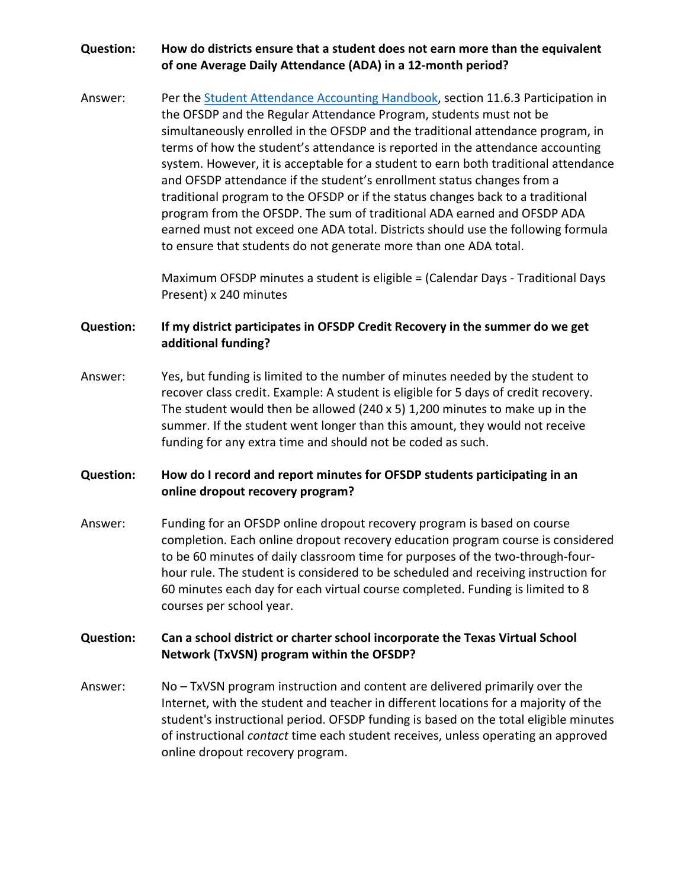## **Question: How do districts ensure that a student does not earn more than the equivalent of one Average Daily Attendance (ADA) in a 12-month period?**

 and OFSDP attendance if the student's enrollment status changes from a Answer: Per the [Student Attendance Accounting Handbook,](https://tea.texas.gov/finance-and-grants/financial-compliance/student-attendance-accounting-handbook) section 11.6.3 Participation in the OFSDP and the Regular Attendance Program, students must not be simultaneously enrolled in the OFSDP and the traditional attendance program, in terms of how the student's attendance is reported in the attendance accounting system. However, it is acceptable for a student to earn both traditional attendance traditional program to the OFSDP or if the status changes back to a traditional program from the OFSDP. The sum of traditional ADA earned and OFSDP ADA earned must not exceed one ADA total. Districts should use the following formula to ensure that students do not generate more than one ADA total.

> Maximum OFSDP minutes a student is eligible = (Calendar Days - Traditional Days Present) x 240 minutes

## **Question: If my district participates in OFSDP Credit Recovery in the summer do we get additional funding?**

Answer: Yes, but funding is limited to the number of minutes needed by the student to recover class credit. Example: A student is eligible for 5 days of credit recovery. The student would then be allowed (240 x 5) 1,200 minutes to make up in the summer. If the student went longer than this amount, they would not receive funding for any extra time and should not be coded as such.

## **Question: How do I record and report minutes for OFSDP students participating in an online dropout recovery program?**

 hour rule. The student is considered to be scheduled and receiving instruction for Answer: Funding for an OFSDP online dropout recovery program is based on course completion. Each online dropout recovery education program course is considered to be 60 minutes of daily classroom time for purposes of the two-through-four-60 minutes each day for each virtual course completed. Funding is limited to 8 courses per school year.

### **Question: Can a school district or charter school incorporate the Texas Virtual School Network (TxVSN) program within the OFSDP?**

Answer: No – TxVSN program instruction and content are delivered primarily over the Internet, with the student and teacher in different locations for a majority of the student's instructional period. OFSDP funding is based on the total eligible minutes of instructional *contact* time each student receives, unless operating an approved online dropout recovery program.